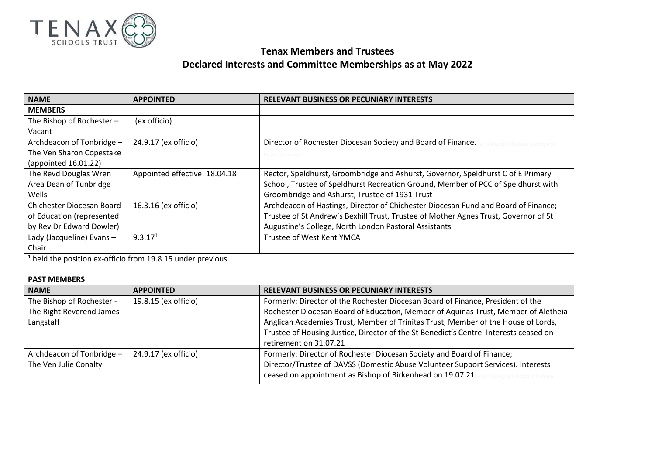

## **Tenax Members and Trustees Declared Interests and Committee Memberships as at May 2022**

| <b>NAME</b>               | <b>APPOINTED</b>              | <b>RELEVANT BUSINESS OR PECUNIARY INTERESTS</b>                                     |
|---------------------------|-------------------------------|-------------------------------------------------------------------------------------|
| <b>MEMBERS</b>            |                               |                                                                                     |
| The Bishop of Rochester - | (ex officio)                  |                                                                                     |
| Vacant                    |                               |                                                                                     |
| Archdeacon of Tonbridge - | 24.9.17 (ex officio)          | Director of Rochester Diocesan Society and Board of Finance.                        |
| The Ven Sharon Copestake  |                               | Board of Finance.                                                                   |
| (appointed 16.01.22)      |                               |                                                                                     |
| The Revd Douglas Wren     | Appointed effective: 18.04.18 | Rector, Speldhurst, Groombridge and Ashurst, Governor, Speldhurst C of E Primary    |
| Area Dean of Tunbridge    |                               | School, Trustee of Speldhurst Recreation Ground, Member of PCC of Speldhurst with   |
| Wells                     |                               | Groombridge and Ashurst, Trustee of 1931 Trust                                      |
| Chichester Diocesan Board | 16.3.16 (ex officio)          | Archdeacon of Hastings, Director of Chichester Diocesan Fund and Board of Finance;  |
| of Education (represented |                               | Trustee of St Andrew's Bexhill Trust, Trustee of Mother Agnes Trust, Governor of St |
| by Rev Dr Edward Dowler)  |                               | Augustine's College, North London Pastoral Assistants                               |
| Lady (Jacqueline) Evans-  | 9.3.17 <sup>1</sup>           | Trustee of West Kent YMCA                                                           |
| Chair                     |                               |                                                                                     |

<sup>1</sup> held the position ex-officio from 19.8.15 under previous

## **PAST MEMBERS**

| <b>APPOINTED</b>     | <b>RELEVANT BUSINESS OR PECUNIARY INTERESTS</b>                                       |  |
|----------------------|---------------------------------------------------------------------------------------|--|
| 19.8.15 (ex officio) | Formerly: Director of the Rochester Diocesan Board of Finance, President of the       |  |
|                      | Rochester Diocesan Board of Education, Member of Aquinas Trust, Member of Aletheia    |  |
|                      | Anglican Academies Trust, Member of Trinitas Trust, Member of the House of Lords,     |  |
|                      | Trustee of Housing Justice, Director of the St Benedict's Centre. Interests ceased on |  |
|                      | retirement on 31.07.21                                                                |  |
| 24.9.17 (ex officio) | Formerly: Director of Rochester Diocesan Society and Board of Finance;                |  |
|                      | Director/Trustee of DAVSS (Domestic Abuse Volunteer Support Services). Interests      |  |
|                      | ceased on appointment as Bishop of Birkenhead on 19.07.21                             |  |
|                      |                                                                                       |  |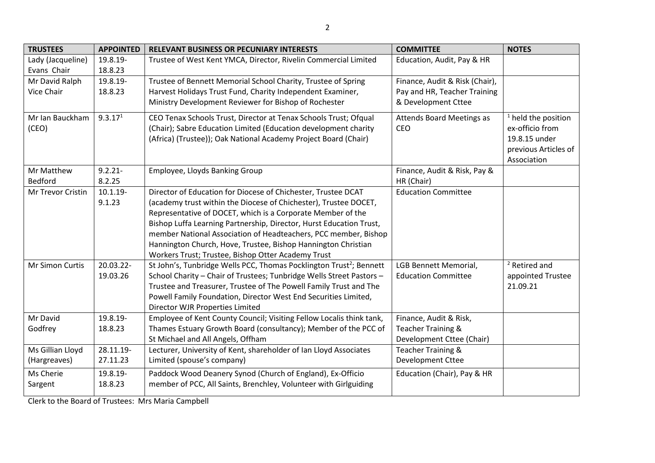| <b>TRUSTEES</b>   | <b>APPOINTED</b>    | <b>RELEVANT BUSINESS OR PECUNIARY INTERESTS</b>                                                                                 | <b>COMMITTEE</b>                 | <b>NOTES</b>             |
|-------------------|---------------------|---------------------------------------------------------------------------------------------------------------------------------|----------------------------------|--------------------------|
| Lady (Jacqueline) | 19.8.19-            | Trustee of West Kent YMCA, Director, Rivelin Commercial Limited                                                                 | Education, Audit, Pay & HR       |                          |
| Evans Chair       | 18.8.23             |                                                                                                                                 |                                  |                          |
| Mr David Ralph    | 19.8.19-            | Trustee of Bennett Memorial School Charity, Trustee of Spring                                                                   | Finance, Audit & Risk (Chair),   |                          |
| Vice Chair        | 18.8.23             | Harvest Holidays Trust Fund, Charity Independent Examiner,                                                                      | Pay and HR, Teacher Training     |                          |
|                   |                     | Ministry Development Reviewer for Bishop of Rochester                                                                           | & Development Cttee              |                          |
| Mr Ian Bauckham   | 9.3.17 <sup>1</sup> | CEO Tenax Schools Trust, Director at Tenax Schools Trust; Ofqual                                                                | <b>Attends Board Meetings as</b> | $1$ held the position    |
| (CEO)             |                     | (Chair); Sabre Education Limited (Education development charity                                                                 | CEO                              | ex-officio from          |
|                   |                     | (Africa) (Trustee)); Oak National Academy Project Board (Chair)                                                                 |                                  | 19.8.15 under            |
|                   |                     |                                                                                                                                 |                                  | previous Articles of     |
|                   |                     |                                                                                                                                 |                                  | Association              |
| Mr Matthew        | $9.2.21 -$          | Employee, Lloyds Banking Group                                                                                                  | Finance, Audit & Risk, Pay &     |                          |
| Bedford           | 8.2.25              |                                                                                                                                 | HR (Chair)                       |                          |
| Mr Trevor Cristin | $10.1.19 -$         | Director of Education for Diocese of Chichester, Trustee DCAT                                                                   | <b>Education Committee</b>       |                          |
|                   | 9.1.23              | (academy trust within the Diocese of Chichester), Trustee DOCET,<br>Representative of DOCET, which is a Corporate Member of the |                                  |                          |
|                   |                     | Bishop Luffa Learning Partnership, Director, Hurst Education Trust,                                                             |                                  |                          |
|                   |                     | member National Association of Headteachers, PCC member, Bishop                                                                 |                                  |                          |
|                   |                     | Hannington Church, Hove, Trustee, Bishop Hannington Christian                                                                   |                                  |                          |
|                   |                     | Workers Trust; Trustee, Bishop Otter Academy Trust                                                                              |                                  |                          |
| Mr Simon Curtis   | 20.03.22-           | St John's, Tunbridge Wells PCC, Thomas Pocklington Trust <sup>2</sup> ; Bennett                                                 | LGB Bennett Memorial,            | <sup>2</sup> Retired and |
|                   | 19.03.26            | School Charity - Chair of Trustees; Tunbridge Wells Street Pastors -                                                            | <b>Education Committee</b>       | appointed Trustee        |
|                   |                     | Trustee and Treasurer, Trustee of The Powell Family Trust and The                                                               |                                  | 21.09.21                 |
|                   |                     | Powell Family Foundation, Director West End Securities Limited,                                                                 |                                  |                          |
|                   |                     | Director WJR Properties Limited                                                                                                 |                                  |                          |
| Mr David          | 19.8.19-            | Employee of Kent County Council; Visiting Fellow Localis think tank,                                                            | Finance, Audit & Risk,           |                          |
| Godfrey           | 18.8.23             | Thames Estuary Growth Board (consultancy); Member of the PCC of                                                                 | Teacher Training &               |                          |
|                   |                     | St Michael and All Angels, Offham                                                                                               | Development Cttee (Chair)        |                          |
| Ms Gillian Lloyd  | 28.11.19-           | Lecturer, University of Kent, shareholder of Ian Lloyd Associates                                                               | Teacher Training &               |                          |
| (Hargreaves)      | 27.11.23            | Limited (spouse's company)                                                                                                      | Development Cttee                |                          |
| Ms Cherie         | 19.8.19-            | Paddock Wood Deanery Synod (Church of England), Ex-Officio                                                                      | Education (Chair), Pay & HR      |                          |
| Sargent           | 18.8.23             | member of PCC, All Saints, Brenchley, Volunteer with Girlguiding                                                                |                                  |                          |

Clerk to the Board of Trustees: Mrs Maria Campbell